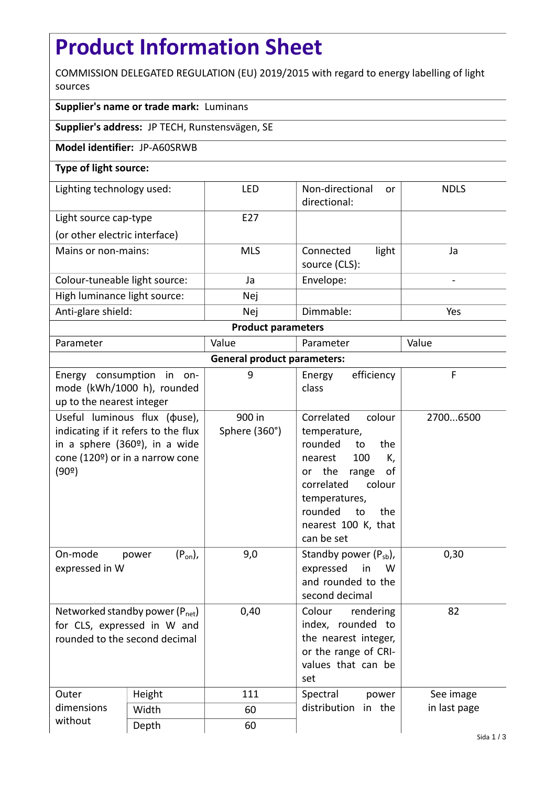## **Product Information Sheet**

COMMISSION DELEGATED REGULATION (EU) 2019/2015 with regard to energy labelling of light sources

## **Supplier's name or trade mark:** Luminans

**Supplier's address:** JP TECH, Runstensvägen, SE

**Model identifier:** JP-A60SRWB

## **Type of light source:**

| Lighting technology used:     | <b>LED</b>      | Non-directional<br><sub>or</sub><br>directional: | <b>NDLS</b> |  |  |
|-------------------------------|-----------------|--------------------------------------------------|-------------|--|--|
| Light source cap-type         | F <sub>27</sub> |                                                  |             |  |  |
| (or other electric interface) |                 |                                                  |             |  |  |
| Mains or non-mains:           | <b>MLS</b>      | light<br>Connected<br>source (CLS):              | Ja          |  |  |
| Colour-tuneable light source: | Ja              | Envelope:                                        |             |  |  |
| High luminance light source:  | Nej             |                                                  |             |  |  |
| Anti-glare shield:            | Nej             | Dimmable:                                        | Yes         |  |  |
| <b>Product parameters</b>     |                 |                                                  |             |  |  |

| Parameter                                                    |                                                                                                                                                             | Value                   | Parameter                                                                                                                                                                                                        | Value        |  |  |
|--------------------------------------------------------------|-------------------------------------------------------------------------------------------------------------------------------------------------------------|-------------------------|------------------------------------------------------------------------------------------------------------------------------------------------------------------------------------------------------------------|--------------|--|--|
| <b>General product parameters:</b>                           |                                                                                                                                                             |                         |                                                                                                                                                                                                                  |              |  |  |
| up to the nearest integer                                    | Energy consumption in on-<br>mode (kWh/1000 h), rounded                                                                                                     | 9                       | efficiency<br>Energy<br>class                                                                                                                                                                                    | F            |  |  |
| (90°)                                                        | Useful luminous flux ( $\phi$ use),<br>indicating if it refers to the flux<br>in a sphere (360 <sup>o</sup> ), in a wide<br>cone (120º) or in a narrow cone | 900 in<br>Sphere (360°) | Correlated<br>colour<br>temperature,<br>rounded<br>to<br>the<br>100<br>nearest<br>K,<br>or the range<br>οf<br>colour<br>correlated<br>temperatures,<br>rounded<br>to<br>the<br>nearest 100 K, that<br>can be set | 27006500     |  |  |
| On-mode<br>expressed in W                                    | $(P_{on})$ ,<br>power                                                                                                                                       | 9,0                     | Standby power $(P_{sb})$ ,<br>expressed<br>in<br>W<br>and rounded to the<br>second decimal                                                                                                                       | 0,30         |  |  |
| for CLS, expressed in W and<br>rounded to the second decimal | Networked standby power $(P_{net})$                                                                                                                         | 0,40                    | Colour<br>rendering<br>index, rounded to<br>the nearest integer,<br>or the range of CRI-<br>values that can be<br>set                                                                                            | 82           |  |  |
| Outer<br>dimensions                                          | Height                                                                                                                                                      | 111                     | Spectral<br>power<br>distribution<br>in the                                                                                                                                                                      | See image    |  |  |
|                                                              | Width                                                                                                                                                       | 60                      |                                                                                                                                                                                                                  | in last page |  |  |
| without                                                      | Depth                                                                                                                                                       | 60                      |                                                                                                                                                                                                                  |              |  |  |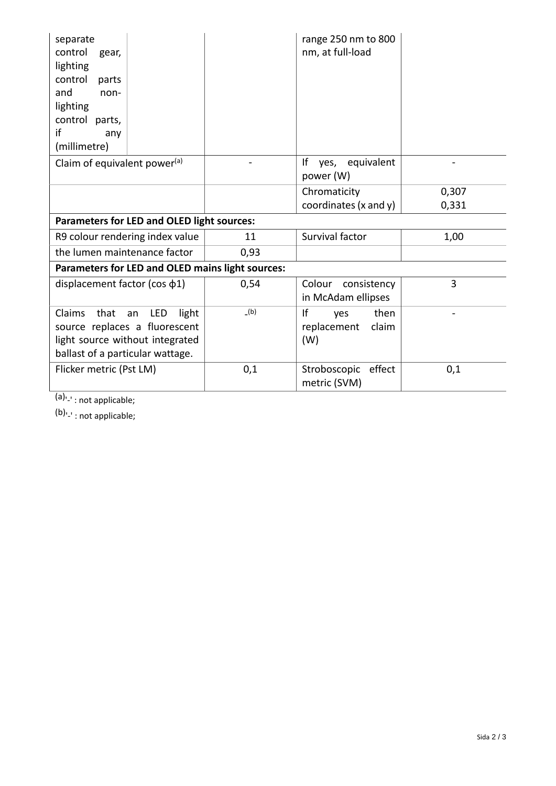| separate<br>control<br>gear,<br>lighting<br>control<br>parts<br>and<br>non-<br>lighting<br>control parts,<br>if<br>any<br>(millimetre)       |      | range 250 nm to 800<br>nm, at full-load          |                |  |  |  |
|----------------------------------------------------------------------------------------------------------------------------------------------|------|--------------------------------------------------|----------------|--|--|--|
| Claim of equivalent power <sup>(a)</sup>                                                                                                     |      | Ιf<br>equivalent<br>yes,<br>power (W)            |                |  |  |  |
|                                                                                                                                              |      | Chromaticity<br>coordinates (x and y)            | 0,307<br>0,331 |  |  |  |
| <b>Parameters for LED and OLED light sources:</b>                                                                                            |      |                                                  |                |  |  |  |
| R9 colour rendering index value                                                                                                              | 11   | Survival factor                                  | 1,00           |  |  |  |
| the lumen maintenance factor                                                                                                                 | 0,93 |                                                  |                |  |  |  |
| Parameters for LED and OLED mains light sources:                                                                                             |      |                                                  |                |  |  |  |
| displacement factor ( $cos \phi_1$ )                                                                                                         | 0,54 | Colour<br>consistency<br>in McAdam ellipses      | 3              |  |  |  |
| Claims<br>that<br>an<br>LED<br>light<br>source replaces a fluorescent<br>light source without integrated<br>ballast of a particular wattage. | (b)  | If<br>then<br>yes<br>replacement<br>claim<br>(W) |                |  |  |  |
| Flicker metric (Pst LM)                                                                                                                      | 0,1  | Stroboscopic<br>effect<br>metric (SVM)           | 0,1            |  |  |  |

(a)<sub>'-'</sub>: not applicable;

(b)<sub>'-'</sub>: not applicable;